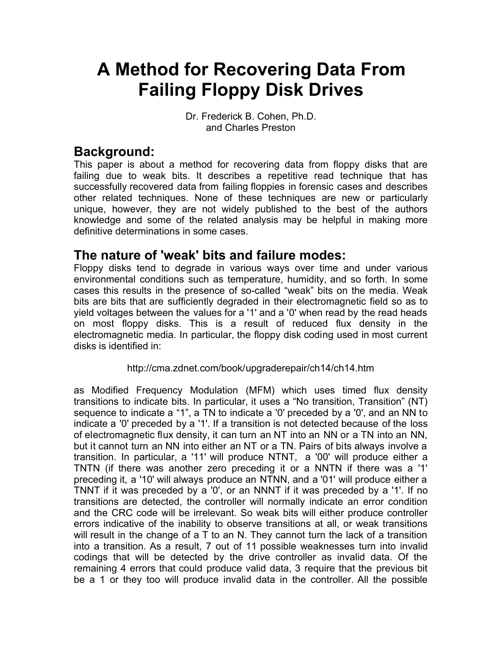# **A Method for Recovering Data From Failing Floppy Disk Drives**

Dr. Frederick B. Cohen, Ph.D. and Charles Preston

# **Background:**

This paper is about a method for recovering data from floppy disks that are failing due to weak bits. It describes a repetitive read technique that has successfully recovered data from failing floppies in forensic cases and describes other related techniques. None of these techniques are new or particularly unique, however, they are not widely published to the best of the authors knowledge and some of the related analysis may be helpful in making more definitive determinations in some cases.

### **The nature of 'weak' bits and failure modes:**

Floppy disks tend to degrade in various ways over time and under various environmental conditions such as temperature, humidity, and so forth. In some cases this results in the presence of so-called "weak" bits on the media. Weak bits are bits that are sufficiently degraded in their electromagnetic field so as to yield voltages between the values for a '1' and a '0' when read by the read heads on most floppy disks. This is a result of reduced flux density in the electromagnetic media. In particular, the floppy disk coding used in most current disks is identified in:

#### http://cma.zdnet.com/book/upgraderepair/ch14/ch14.htm

as Modified Frequency Modulation (MFM) which uses timed flux density transitions to indicate bits. In particular, it uses a "No transition, Transition" (NT) sequence to indicate a "1", a TN to indicate a '0' preceded by a '0', and an NN to indicate a '0' preceded by a '1'. If a transition is not detected because of the loss of electromagnetic flux density, it can turn an NT into an NN or a TN into an NN, but it cannot turn an NN into either an NT or a TN. Pairs of bits always involve a transition. In particular, a '11' will produce NTNT, a '00' will produce either a TNTN (if there was another zero preceding it or a NNTN if there was a '1' preceding it, a '10' will always produce an NTNN, and a '01' will produce either a TNNT if it was preceded by a '0', or an NNNT if it was preceded by a '1'. If no transitions are detected, the controller will normally indicate an error condition and the CRC code will be irrelevant. So weak bits will either produce controller errors indicative of the inability to observe transitions at all, or weak transitions will result in the change of a T to an N. They cannot turn the lack of a transition into a transition. As a result, 7 out of 11 possible weaknesses turn into invalid codings that will be detected by the drive controller as invalid data. Of the remaining 4 errors that could produce valid data, 3 require that the previous bit be a 1 or they too will produce invalid data in the controller. All the possible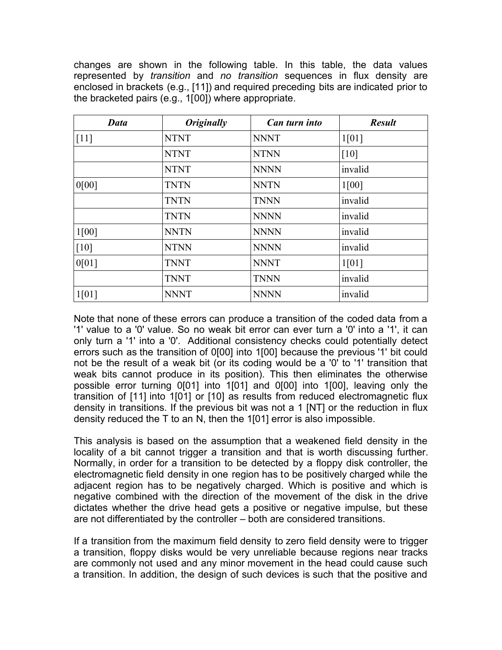changes are shown in the following table. In this table, the data values represented by *transition* and *no transition* sequences in flux density are enclosed in brackets (e.g., [11]) and required preceding bits are indicated prior to the bracketed pairs (e.g., 1[00]) where appropriate.

| Data   | <i><b>Originally</b></i> | Can turn into | <b>Result</b> |
|--------|--------------------------|---------------|---------------|
| $[11]$ | <b>NTNT</b>              | <b>NNNT</b>   | 1[01]         |
|        | <b>NTNT</b>              | <b>NTNN</b>   | [10]          |
|        | <b>NTNT</b>              | <b>NNNN</b>   | invalid       |
| 0[00]  | <b>TNTN</b>              | <b>NNTN</b>   | 1[00]         |
|        | <b>TNTN</b>              | <b>TNNN</b>   | invalid       |
|        | <b>TNTN</b>              | <b>NNNN</b>   | invalid       |
| 1[00]  | <b>NNTN</b>              | <b>NNNN</b>   | invalid       |
| [10]   | <b>NTNN</b>              | <b>NNNN</b>   | invalid       |
| 0[01]  | <b>TNNT</b>              | <b>NNNT</b>   | 1[01]         |
|        | <b>TNNT</b>              | <b>TNNN</b>   | invalid       |
| 1[01]  | <b>NNNT</b>              | <b>NNNN</b>   | invalid       |

Note that none of these errors can produce a transition of the coded data from a '1' value to a '0' value. So no weak bit error can ever turn a '0' into a '1', it can only turn a '1' into a '0'. Additional consistency checks could potentially detect errors such as the transition of 0[00] into 1[00] because the previous '1' bit could not be the result of a weak bit (or its coding would be a '0' to '1' transition that weak bits cannot produce in its position). This then eliminates the otherwise possible error turning 0[01] into 1[01] and 0[00] into 1[00], leaving only the transition of [11] into 1[01] or [10] as results from reduced electromagnetic flux density in transitions. If the previous bit was not a 1 [NT] or the reduction in flux density reduced the T to an N, then the 1[01] error is also impossible.

This analysis is based on the assumption that a weakened field density in the locality of a bit cannot trigger a transition and that is worth discussing further. Normally, in order for a transition to be detected by a floppy disk controller, the electromagnetic field density in one region has to be positively charged while the adjacent region has to be negatively charged. Which is positive and which is negative combined with the direction of the movement of the disk in the drive dictates whether the drive head gets a positive or negative impulse, but these are not differentiated by the controller – both are considered transitions.

If a transition from the maximum field density to zero field density were to trigger a transition, floppy disks would be very unreliable because regions near tracks are commonly not used and any minor movement in the head could cause such a transition. In addition, the design of such devices is such that the positive and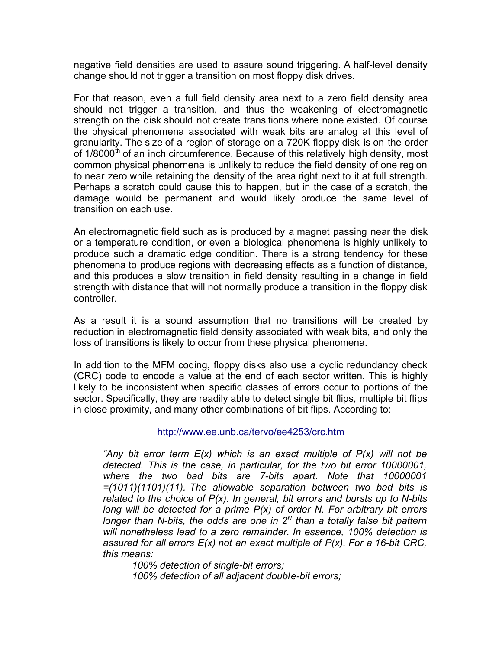negative field densities are used to assure sound triggering. A half-level density change should not trigger a transition on most floppy disk drives.

For that reason, even a full field density area next to a zero field density area should not trigger a transition, and thus the weakening of electromagnetic strength on the disk should not create transitions where none existed. Of course the physical phenomena associated with weak bits are analog at this level of granularity. The size of a region of storage on a 720K floppy disk is on the order of  $1/8000^{\text{th}}$  of an inch circumference. Because of this relatively high density, most common physical phenomena is unlikely to reduce the field density of one region to near zero while retaining the density of the area right next to it at full strength. Perhaps a scratch could cause this to happen, but in the case of a scratch, the damage would be permanent and would likely produce the same level of transition on each use.

An electromagnetic field such as is produced by a magnet passing near the disk or a temperature condition, or even a biological phenomena is highly unlikely to produce such a dramatic edge condition. There is a strong tendency for these phenomena to produce regions with decreasing effects as a function of distance, and this produces a slow transition in field density resulting in a change in field strength with distance that will not normally produce a transition in the floppy disk controller.

As a result it is a sound assumption that no transitions will be created by reduction in electromagnetic field density associated with weak bits, and only the loss of transitions is likely to occur from these physical phenomena.

In addition to the MFM coding, floppy disks also use a cyclic redundancy check (CRC) code to encode a value at the end of each sector written. This is highly likely to be inconsistent when specific classes of errors occur to portions of the sector. Specifically, they are readily able to detect single bit flips, multiple bit flips in close proximity, and many other combinations of bit flips. According to:

#### <http://www.ee.unb.ca/tervo/ee4253/crc.htm>

*"Any bit error term E(x) which is an exact multiple of P(x) will not be detected. This is the case, in particular, for the two bit error 10000001, where the two bad bits are 7-bits apart. Note that 10000001 =(1011)(1101)(11). The allowable separation between two bad bits is related to the choice of P(x). In general, bit errors and bursts up to N-bits long will be detected for a prime P(x) of order N. For arbitrary bit errors* longer than N-bits, the odds are one in 2<sup>N</sup> than a totally false bit pattern *will nonetheless lead to a zero remainder. In essence, 100% detection is assured for all errors E(x) not an exact multiple of P(x). For a 16-bit CRC, this means:*

*100% detection of single-bit errors; 100% detection of all adjacent double-bit errors;*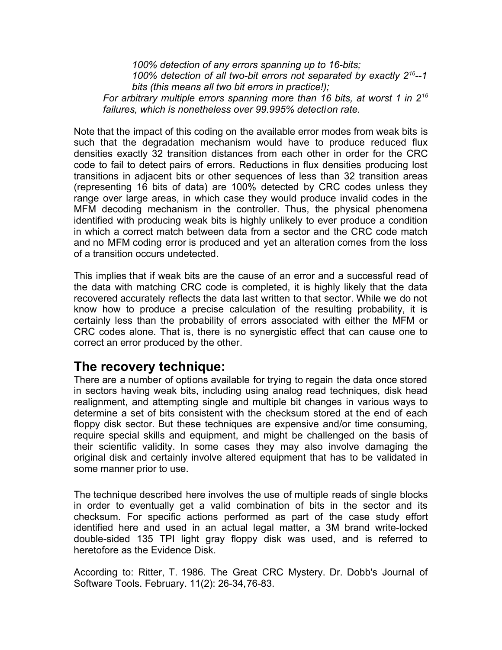*100% detection of any errors spanning up to 16-bits; 100% detection of all two-bit errors not separated by exactly 2 <sup>16</sup>--1 bits (this means all two bit errors in practice!);* For arbitrary multiple errors spanning more than 16 bits, at worst 1 in 2<sup>16</sup> *failures, which is nonetheless over 99.995% detection rate.*

Note that the impact of this coding on the available error modes from weak bits is such that the degradation mechanism would have to produce reduced flux densities exactly 32 transition distances from each other in order for the CRC code to fail to detect pairs of errors. Reductions in flux densities producing lost transitions in adjacent bits or other sequences of less than 32 transition areas (representing 16 bits of data) are 100% detected by CRC codes unless they range over large areas, in which case they would produce invalid codes in the MFM decoding mechanism in the controller. Thus, the physical phenomena identified with producing weak bits is highly unlikely to ever produce a condition in which a correct match between data from a sector and the CRC code match and no MFM coding error is produced and yet an alteration comes from the loss of a transition occurs undetected.

This implies that if weak bits are the cause of an error and a successful read of the data with matching CRC code is completed, it is highly likely that the data recovered accurately reflects the data last written to that sector. While we do not know how to produce a precise calculation of the resulting probability, it is certainly less than the probability of errors associated with either the MFM or CRC codes alone. That is, there is no synergistic effect that can cause one to correct an error produced by the other.

### **The recovery technique:**

There are a number of options available for trying to regain the data once stored in sectors having weak bits, including using analog read techniques, disk head realignment, and attempting single and multiple bit changes in various ways to determine a set of bits consistent with the checksum stored at the end of each floppy disk sector. But these techniques are expensive and/or time consuming, require special skills and equipment, and might be challenged on the basis of their scientific validity. In some cases they may also involve damaging the original disk and certainly involve altered equipment that has to be validated in some manner prior to use.

The technique described here involves the use of multiple reads of single blocks in order to eventually get a valid combination of bits in the sector and its checksum. For specific actions performed as part of the case study effort identified here and used in an actual legal matter, a 3M brand write-locked double-sided 135 TPI light gray floppy disk was used, and is referred to heretofore as the Evidence Disk.

According to: Ritter, T. 1986. The Great CRC Mystery. Dr. Dobb's Journal of Software Tools. February. 11(2): 26-34, 76-83.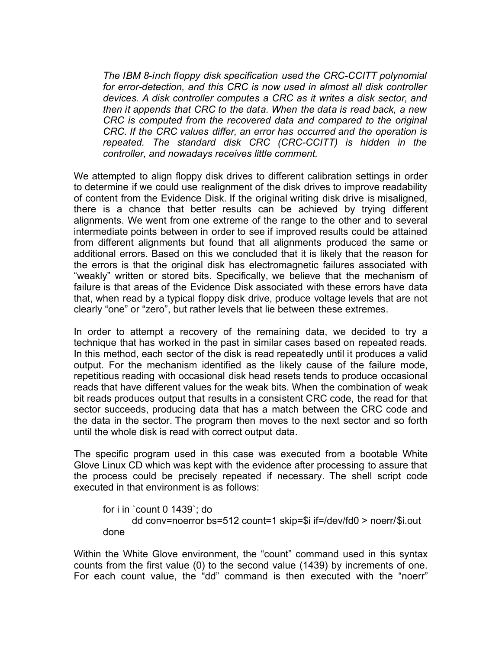*The IBM 8-inch floppy disk specification used the CRC-CCITT polynomial for error-detection, and this CRC is now used in almost all disk controller devices. A disk controller computes a CRC as it writes a disk sector, and then it appends that CRC to the data. When the data is read back, a new CRC is computed from the recovered data and compared to the original CRC. If the CRC values differ, an error has occurred and the operation is repeated. The standard disk CRC (CRC-CCITT) is hidden in the controller, and nowadays receives little comment.*

We attempted to align floppy disk drives to different calibration settings in order to determine if we could use realignment of the disk drives to improve readability of content from the Evidence Disk. If the original writing disk drive is misaligned, there is a chance that better results can be achieved by trying different alignments. We went from one extreme of the range to the other and to several intermediate points between in order to see if improved results could be attained from different alignments but found that all alignments produced the same or additional errors. Based on this we concluded that it is likely that the reason for the errors is that the original disk has electromagnetic failures associated with "weakly" written or stored bits. Specifically, we believe that the mechanism of failure is that areas of the Evidence Disk associated with these errors have data that, when read by a typical floppy disk drive, produce voltage levels that are not clearly "one" or "zero", but rather levels that lie between these extremes.

In order to attempt a recovery of the remaining data, we decided to try a technique that has worked in the past in similar cases based on repeated reads. In this method, each sector of the disk is read repeatedly until it produces a valid output. For the mechanism identified as the likely cause of the failure mode, repetitious reading with occasional disk head resets tends to produce occasional reads that have different values for the weak bits. When the combination of weak bit reads produces output that results in a consistent CRC code, the read for that sector succeeds, producing data that has a match between the CRC code and the data in the sector. The program then moves to the next sector and so forth until the whole disk is read with correct output data.

The specific program used in this case was executed from a bootable White Glove Linux CD which was kept with the evidence after processing to assure that the process could be precisely repeated if necessary. The shell script code executed in that environment is as follows:

```
for i in `count 0 1439`; do
      dd conv=noerror bs=512 count=1 skip=$i if=/dev/fd0 > noerr/$i.out 
done
```
Within the White Glove environment, the "count" command used in this syntax counts from the first value (0) to the second value (1439) by increments of one. For each count value, the "dd" command is then executed with the "noerr"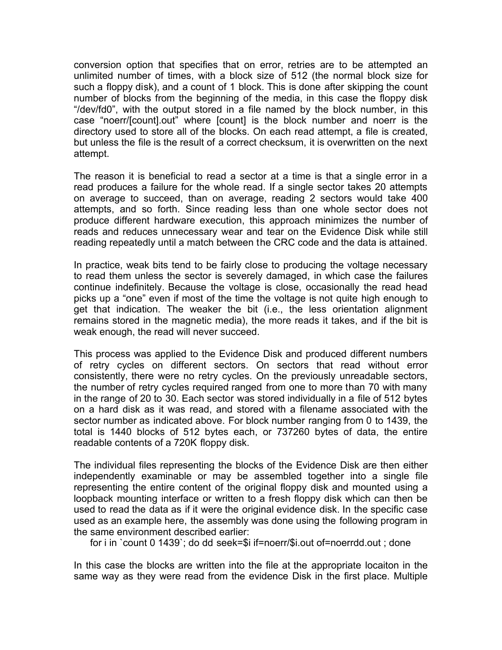conversion option that specifies that on error, retries are to be attempted an unlimited number of times, with a block size of 512 (the normal block size for such a floppy disk), and a count of 1 block. This is done after skipping the count number of blocks from the beginning of the media, in this case the floppy disk "/dev/fd0", with the output stored in a file named by the block number, in this case "noerr/[count].out" where [count] is the block number and noerr is the directory used to store all of the blocks. On each read attempt, a file is created, but unless the file is the result of a correct checksum, it is overwritten on the next attempt.

The reason it is beneficial to read a sector at a time is that a single error in a read produces a failure for the whole read. If a single sector takes 20 attempts on average to succeed, than on average, reading 2 sectors would take 400 attempts, and so forth. Since reading less than one whole sector does not produce different hardware execution, this approach minimizes the number of reads and reduces unnecessary wear and tear on the Evidence Disk while still reading repeatedly until a match between the CRC code and the data is attained.

In practice, weak bits tend to be fairly close to producing the voltage necessary to read them unless the sector is severely damaged, in which case the failures continue indefinitely. Because the voltage is close, occasionally the read head picks up a "one" even if most of the time the voltage is not quite high enough to get that indication. The weaker the bit (i.e., the less orientation alignment remains stored in the magnetic media), the more reads it takes, and if the bit is weak enough, the read will never succeed.

This process was applied to the Evidence Disk and produced different numbers of retry cycles on different sectors. On sectors that read without error consistently, there were no retry cycles. On the previously unreadable sectors, the number of retry cycles required ranged from one to more than 70 with many in the range of 20 to 30. Each sector was stored individually in a file of 512 bytes on a hard disk as it was read, and stored with a filename associated with the sector number as indicated above. For block number ranging from 0 to 1439, the total is 1440 blocks of 512 bytes each, or 737260 bytes of data, the entire readable contents of a 720K floppy disk.

The individual files representing the blocks of the Evidence Disk are then either independently examinable or may be assembled together into a single file representing the entire content of the original floppy disk and mounted using a loopback mounting interface or written to a fresh floppy disk which can then be used to read the data as if it were the original evidence disk. In the specific case used as an example here, the assembly was done using the following program in the same environment described earlier:

for i in `count 0 1439`; do dd seek=\$i if=noerr/\$i.out of=noerrdd.out ; done

In this case the blocks are written into the file at the appropriate locaiton in the same way as they were read from the evidence Disk in the first place. Multiple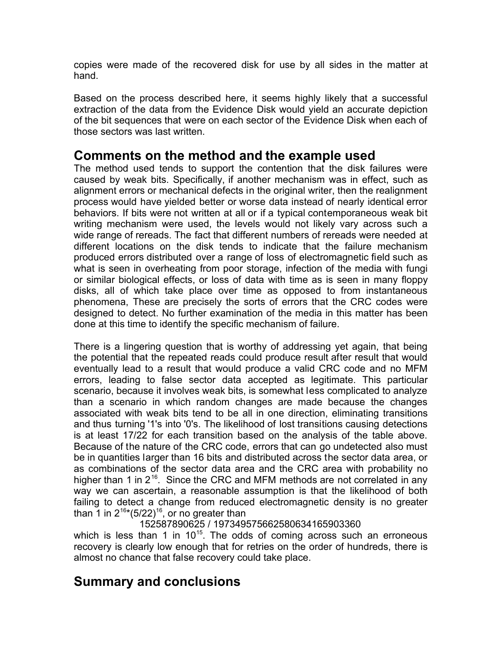copies were made of the recovered disk for use by all sides in the matter at hand.

Based on the process described here, it seems highly likely that a successful extraction of the data from the Evidence Disk would yield an accurate depiction of the bit sequences that were on each sector of the Evidence Disk when each of those sectors was last written.

### **Comments on the method and the example used**

The method used tends to support the contention that the disk failures were caused by weak bits. Specifically, if another mechanism was in effect, such as alignment errors or mechanical defects in the original writer, then the realignment process would have yielded better or worse data instead of nearly identical error behaviors. If bits were not written at all or if a typical contemporaneous weak bit writing mechanism were used, the levels would not likely vary across such a wide range of rereads. The fact that different numbers of rereads were needed at different locations on the disk tends to indicate that the failure mechanism produced errors distributed over a range of loss of electromagnetic field such as what is seen in overheating from poor storage, infection of the media with fungi or similar biological effects, or loss of data with time as is seen in many floppy disks, all of which take place over time as opposed to from instantaneous phenomena, These are precisely the sorts of errors that the CRC codes were designed to detect. No further examination of the media in this matter has been done at this time to identify the specific mechanism of failure.

There is a lingering question that is worthy of addressing yet again, that being the potential that the repeated reads could produce result after result that would eventually lead to a result that would produce a valid CRC code and no MFM errors, leading to false sector data accepted as legitimate. This particular scenario, because it involves weak bits, is somewhat less complicated to analyze than a scenario in which random changes are made because the changes associated with weak bits tend to be all in one direction, eliminating transitions and thus turning '1's into '0's. The likelihood of lost transitions causing detections is at least 17/22 for each transition based on the analysis of the table above. Because of the nature of the CRC code, errors that can go undetected also must be in quantities larger than 16 bits and distributed across the sector data area, or as combinations of the sector data area and the CRC area with probability no higher than 1 in  $2^{16}$ . Since the CRC and MFM methods are not correlated in any way we can ascertain, a reasonable assumption is that the likelihood of both failing to detect a change from reduced electromagnetic density is no greater than 1 in  $2^{16*}(5/22)^{16}$ , or no greater than

#### 152587890625 / 197349575662580634165903360

which is less than 1 in  $10^{15}$ . The odds of coming across such an erroneous recovery is clearly low enough that for retries on the order of hundreds, there is almost no chance that false recovery could take place.

## **Summary and conclusions**